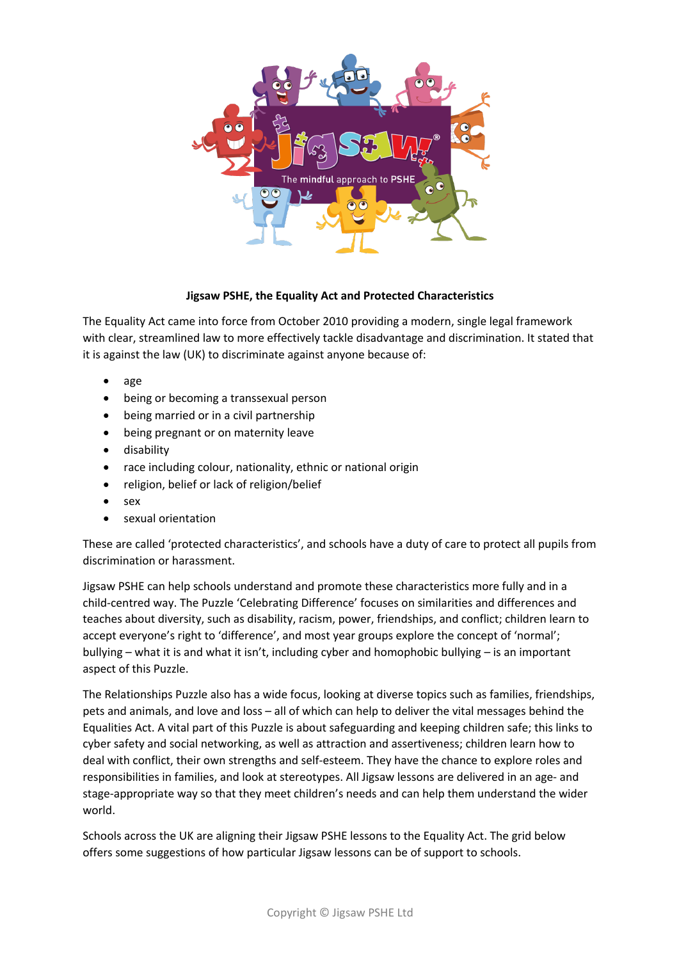

## **Jigsaw PSHE, the Equality Act and Protected Characteristics**

The Equality Act came into force from October 2010 providing a modern, single legal framework with clear, streamlined law to more effectively tackle disadvantage and discrimination. It stated that it is against the law (UK) to discriminate against anyone because of:

- age
- being or becoming a transsexual person
- being married or in a civil partnership
- being pregnant or on maternity leave
- disability
- race including colour, nationality, ethnic or national origin
- religion, belief or lack of religion/belief
- sex
- sexual orientation

These are called 'protected characteristics', and schools have a duty of care to protect all pupils from discrimination or harassment.

Jigsaw PSHE can help schools understand and promote these characteristics more fully and in a child-centred way. The Puzzle 'Celebrating Difference' focuses on similarities and differences and teaches about diversity, such as disability, racism, power, friendships, and conflict; children learn to accept everyone's right to 'difference', and most year groups explore the concept of 'normal'; bullying – what it is and what it isn't, including cyber and homophobic bullying – is an important aspect of this Puzzle.

The Relationships Puzzle also has a wide focus, looking at diverse topics such as families, friendships, pets and animals, and love and loss – all of which can help to deliver the vital messages behind the Equalities Act. A vital part of this Puzzle is about safeguarding and keeping children safe; this links to cyber safety and social networking, as well as attraction and assertiveness; children learn how to deal with conflict, their own strengths and self-esteem. They have the chance to explore roles and responsibilities in families, and look at stereotypes. All Jigsaw lessons are delivered in an age- and stage-appropriate way so that they meet children's needs and can help them understand the wider world.

Schools across the UK are aligning their Jigsaw PSHE lessons to the Equality Act. The grid below offers some suggestions of how particular Jigsaw lessons can be of support to schools.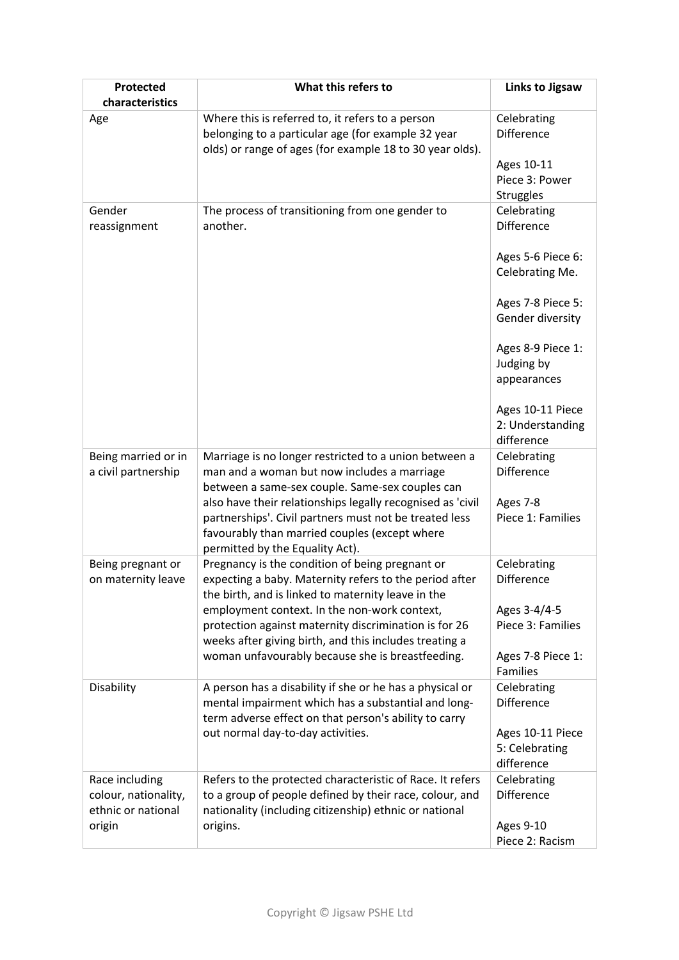| Protected<br>characteristics                                           | What this refers to                                                                                                                                                                                                                                                                                                                                                 | <b>Links to Jigsaw</b>                                                               |
|------------------------------------------------------------------------|---------------------------------------------------------------------------------------------------------------------------------------------------------------------------------------------------------------------------------------------------------------------------------------------------------------------------------------------------------------------|--------------------------------------------------------------------------------------|
| Age                                                                    | Where this is referred to, it refers to a person<br>belonging to a particular age (for example 32 year<br>olds) or range of ages (for example 18 to 30 year olds).                                                                                                                                                                                                  | Celebrating<br><b>Difference</b><br>Ages 10-11<br>Piece 3: Power                     |
|                                                                        |                                                                                                                                                                                                                                                                                                                                                                     | <b>Struggles</b>                                                                     |
| Gender<br>reassignment                                                 | The process of transitioning from one gender to<br>another.                                                                                                                                                                                                                                                                                                         | Celebrating<br><b>Difference</b>                                                     |
|                                                                        |                                                                                                                                                                                                                                                                                                                                                                     | Ages 5-6 Piece 6:<br>Celebrating Me.                                                 |
|                                                                        |                                                                                                                                                                                                                                                                                                                                                                     | Ages 7-8 Piece 5:<br>Gender diversity                                                |
|                                                                        |                                                                                                                                                                                                                                                                                                                                                                     | Ages 8-9 Piece 1:<br>Judging by<br>appearances                                       |
|                                                                        |                                                                                                                                                                                                                                                                                                                                                                     | Ages 10-11 Piece<br>2: Understanding<br>difference                                   |
| Being married or in<br>a civil partnership                             | Marriage is no longer restricted to a union between a<br>man and a woman but now includes a marriage<br>between a same-sex couple. Same-sex couples can<br>also have their relationships legally recognised as 'civil<br>partnerships'. Civil partners must not be treated less<br>favourably than married couples (except where<br>permitted by the Equality Act). | Celebrating<br>Difference<br>Ages 7-8<br>Piece 1: Families                           |
| Being pregnant or<br>on maternity leave                                | Pregnancy is the condition of being pregnant or<br>expecting a baby. Maternity refers to the period after<br>the birth, and is linked to maternity leave in the<br>employment context. In the non-work context,<br>protection against maternity discrimination is for 26                                                                                            | Celebrating<br><b>Difference</b><br>Ages 3-4/4-5<br>Piece 3: Families                |
|                                                                        | weeks after giving birth, and this includes treating a<br>woman unfavourably because she is breastfeeding.                                                                                                                                                                                                                                                          | Ages 7-8 Piece 1:<br>Families                                                        |
| Disability                                                             | A person has a disability if she or he has a physical or<br>mental impairment which has a substantial and long-<br>term adverse effect on that person's ability to carry<br>out normal day-to-day activities.                                                                                                                                                       | Celebrating<br><b>Difference</b><br>Ages 10-11 Piece<br>5: Celebrating<br>difference |
| Race including<br>colour, nationality,<br>ethnic or national<br>origin | Refers to the protected characteristic of Race. It refers<br>to a group of people defined by their race, colour, and<br>nationality (including citizenship) ethnic or national<br>origins.                                                                                                                                                                          | Celebrating<br><b>Difference</b><br><b>Ages 9-10</b><br>Piece 2: Racism              |